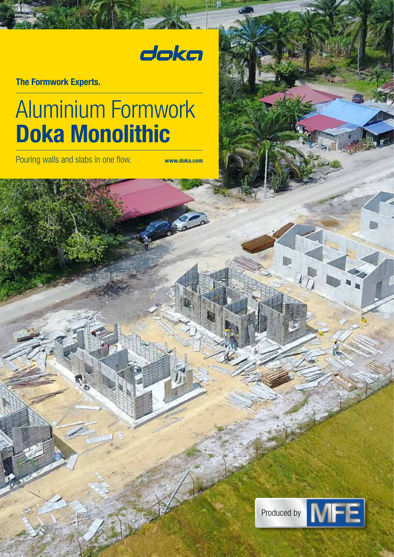# doka

The Formwork Experts.

# Aluminium Formwork Doka Monolithic

Pouring walls and slabs in one flow. www.doka.com

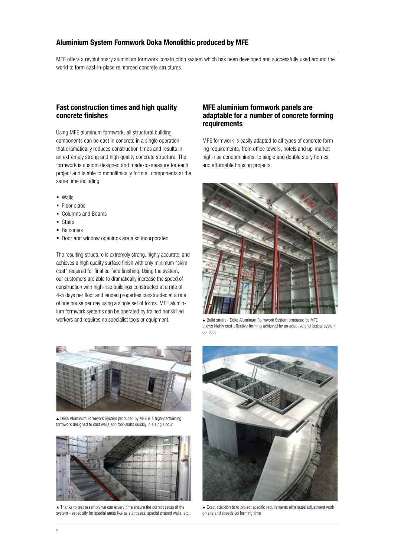#### Aluminium System Formwork Doka Monolithic produced by MFE

MFE offers a revolutionary aluminium formwork construction system which has been developed and successfully used around the world to form cast-in-place reinforced concrete structures.

### Fast construction times and high quality concrete finishes

Using MFE aluminum formwork, all structural building components can be cast in concrete in a single operation that dramatically reduces construction times and results in an extremely strong and high quality concrete structure. The formwork is custom designed and made-to-measure for each project and is able to monolithically form all components at the same time including

- Walls
- Floor slabs
- Columns and Beams
- **Stairs**
- Balconies
- **-** Door and window openings are also incorporated

The resulting structure is extremely strong, highly accurate, and achieves a high quality surface finish with only minimum "skim coat" required for final surface finishing. Using the system, our customers are able to dramatically increase the speed of construction with high-rise buildings constructed at a rate of 4-5 days per floor and landed properties constructed at a rate of one house per day using a single set of forms. MFE aluminium formwork systems can be operated by trained nonskilled workers and requires no specialist tools or equipment.

#### MFE aluminium formwork panels are adaptable for a number of concrete forming requirements

MFE formwork is easily adapted to all types of concrete forming requirements, from office towers, hotels and up-market high-rise condominiums, to single and double story homes and affordable housing projects.



▲ Build smart - Doka Aluminum Formwork System produced by MFE allows highly cost-effective forming achieved by an adaptive and logical system concept



Doka Aluminum Formwork System produced by MFE is a high-performing formwork designed to cast walls and foor-slabs quickly in a single pour



▲ Thanks to test assembly we can ervery time ensure the correct setup of the system - especially for special areas like as staircases, special shaped walls, etc.



Exact adaption to to project specific requirements eliminates adjustment work on site and speeds up forming time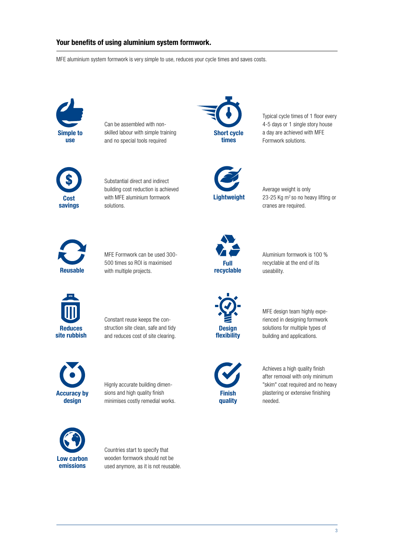## Your benefits of using aluminium system formwork.

MFE aluminium system formwork is very simple to use, reduces your cycle times and saves costs.



Can be assembled with nonskilled labour with simple training and no special tools required



Substantial direct and indirect building cost reduction is achieved with MFE aluminium formwork solutions.



Typical cycle times of 1 floor every 4-5 days or 1 single story house a day are achieved with MFE Formwork solutions.



Average weight is only 23-25 Kg m<sup>2</sup> so no heavy lifting or cranes are required.



MFE Formwork can be used 300- 500 times so ROI is maximised with multiple projects.



Constant reuse keeps the construction site clean, safe and tidy and reduces cost of site clearing.



Hignly accurate building dimensions and high quality finish minimises costly remedial works.



Countries start to specify that wooden formwork should not be used anymore, as it is not reusable.



Aluminium formwork is 100 % recyclable at the end of its useability.



MFE design team highly experienced in designing formwork solutions for multiple types of building and applications.



Achieves a high quality finish

after removal with only minimum "skim" coat required and no heavy plastering or extensive finishing needed.